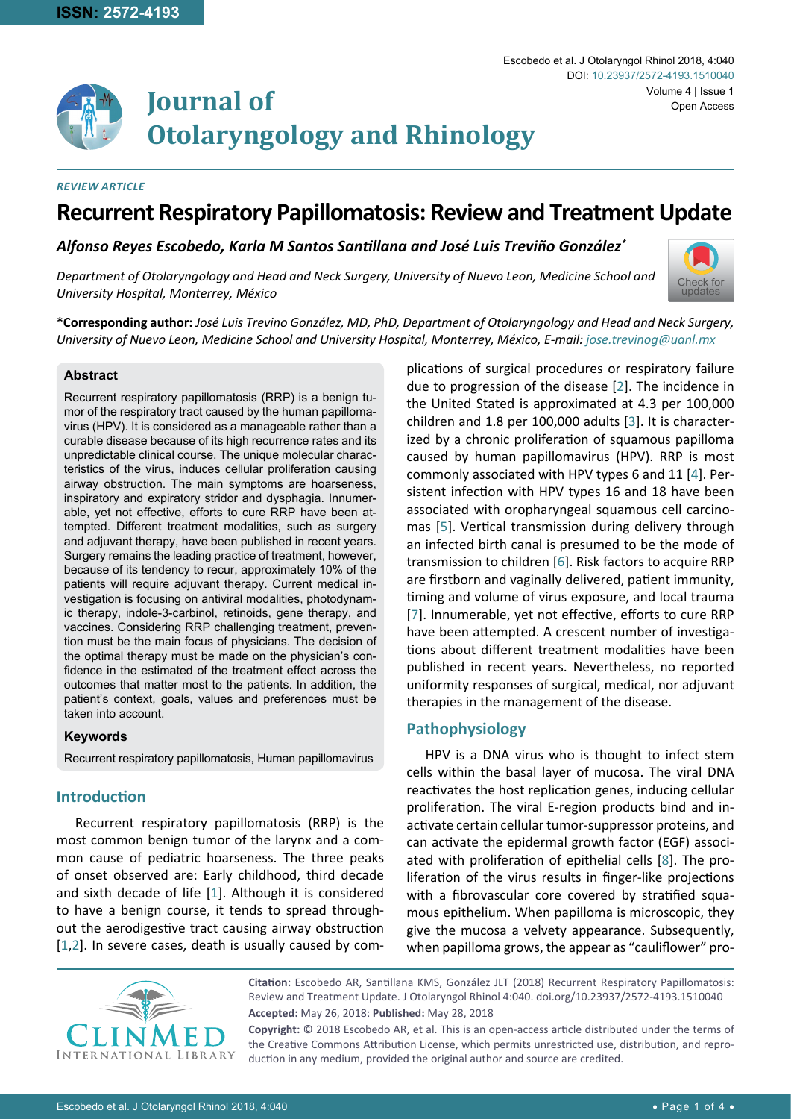# **Journal of Otolaryngology and Rhinology**

#### *Review Article*

# **Recurrent Respiratory Papillomatosis: Review and Treatment Update**

*Alfonso Reyes Escobedo, Karla M Santos Santillana and José Luis Treviño González\**

*Department of Otolaryngology and Head and Neck Surgery, University of Nuevo Leon, Medicine School and University Hospital, Monterrey, México*



Volume 4 | Issue 1

Open Access

Escobedo et al. J Otolaryngol Rhinol 2018, 4:040

DOI: [10.23937/2572-4193.1510040](https://doi.org/10.23937/2572-4193.1510040)

**\*Corresponding author:** *José Luis Trevino González, MD, PhD, Department of Otolaryngology and Head and Neck Surgery, University of Nuevo Leon, Medicine School and University Hospital, Monterrey, México, E-mail: jose.trevinog@uanl.mx*

#### **Abstract**

Recurrent respiratory papillomatosis (RRP) is a benign tumor of the respiratory tract caused by the human papillomavirus (HPV). It is considered as a manageable rather than a curable disease because of its high recurrence rates and its unpredictable clinical course. The unique molecular characteristics of the virus, induces cellular proliferation causing airway obstruction. The main symptoms are hoarseness, inspiratory and expiratory stridor and dysphagia. Innumerable, yet not effective, efforts to cure RRP have been attempted. Different treatment modalities, such as surgery and adjuvant therapy, have been published in recent years. Surgery remains the leading practice of treatment, however, because of its tendency to recur, approximately 10% of the patients will require adjuvant therapy. Current medical investigation is focusing on antiviral modalities, photodynamic therapy, indole-3-carbinol, retinoids, gene therapy, and vaccines. Considering RRP challenging treatment, prevention must be the main focus of physicians. The decision of the optimal therapy must be made on the physician's confidence in the estimated of the treatment effect across the outcomes that matter most to the patients. In addition, the patient's context, goals, values and preferences must be taken into account.

#### **Keywords**

Recurrent respiratory papillomatosis, Human papillomavirus

# **Introduction**

Recurrent respiratory papillomatosis (RRP) is the most common benign tumor of the larynx and a common cause of pediatric hoarseness. The three peaks of onset observed are: Early childhood, third decade and sixth decade of life [[1](#page-2-7)]. Although it is considered to have a benign course, it tends to spread throughout the aerodigestive tract causing airway obstruction [[1](#page-2-7),[2\]](#page-2-0). In severe cases, death is usually caused by complications of surgical procedures or respiratory failure due to progression of the disease [\[2\]](#page-2-0). The incidence in the United Stated is approximated at 4.3 per 100,000 children and 1.8 per 100,000 adults [\[3\]](#page-2-1). It is characterized by a chronic proliferation of squamous papilloma caused by human papillomavirus (HPV). RRP is most commonly associated with HPV types 6 and 11 [\[4\]](#page-2-2). Persistent infection with HPV types 16 and 18 have been associated with oropharyngeal squamous cell carcinomas [[5](#page-2-3)]. Vertical transmission during delivery through an infected birth canal is presumed to be the mode of transmission to children [[6](#page-2-4)]. Risk factors to acquire RRP are firstborn and vaginally delivered, patient immunity, timing and volume of virus exposure, and local trauma [[7](#page-2-5)]. Innumerable, yet not effective, efforts to cure RRP have been attempted. A crescent number of investigations about different treatment modalities have been published in recent years. Nevertheless, no reported uniformity responses of surgical, medical, nor adjuvant therapies in the management of the disease.

# **Pathophysiology**

HPV is a DNA virus who is thought to infect stem cells within the basal layer of mucosa. The viral DNA reactivates the host replication genes, inducing cellular proliferation. The viral E-region products bind and inactivate certain cellular tumor-suppressor proteins, and can activate the epidermal growth factor (EGF) associated with proliferation of epithelial cells [\[8\]](#page-2-6). The proliferation of the virus results in finger-like projections with a fibrovascular core covered by stratified squamous epithelium. When papilloma is microscopic, they give the mucosa a velvety appearance. Subsequently, when papilloma grows, the appear as "cauliflower" pro-



**Citation:** Escobedo AR, Santillana KMS, González JLT (2018) Recurrent Respiratory Papillomatosis: Review and Treatment Update. J Otolaryngol Rhinol 4:040. [doi.org/10.23937/2572-4193.1510040](https://doi.org/10.23937/2572-4193.1510040) **Accepted:** May 26, 2018: **Published:** May 28, 2018

**Copyright:** © 2018 Escobedo AR, et al. This is an open-access article distributed under the terms of the Creative Commons Attribution License, which permits unrestricted use, distribution, and reproduction in any medium, provided the original author and source are credited.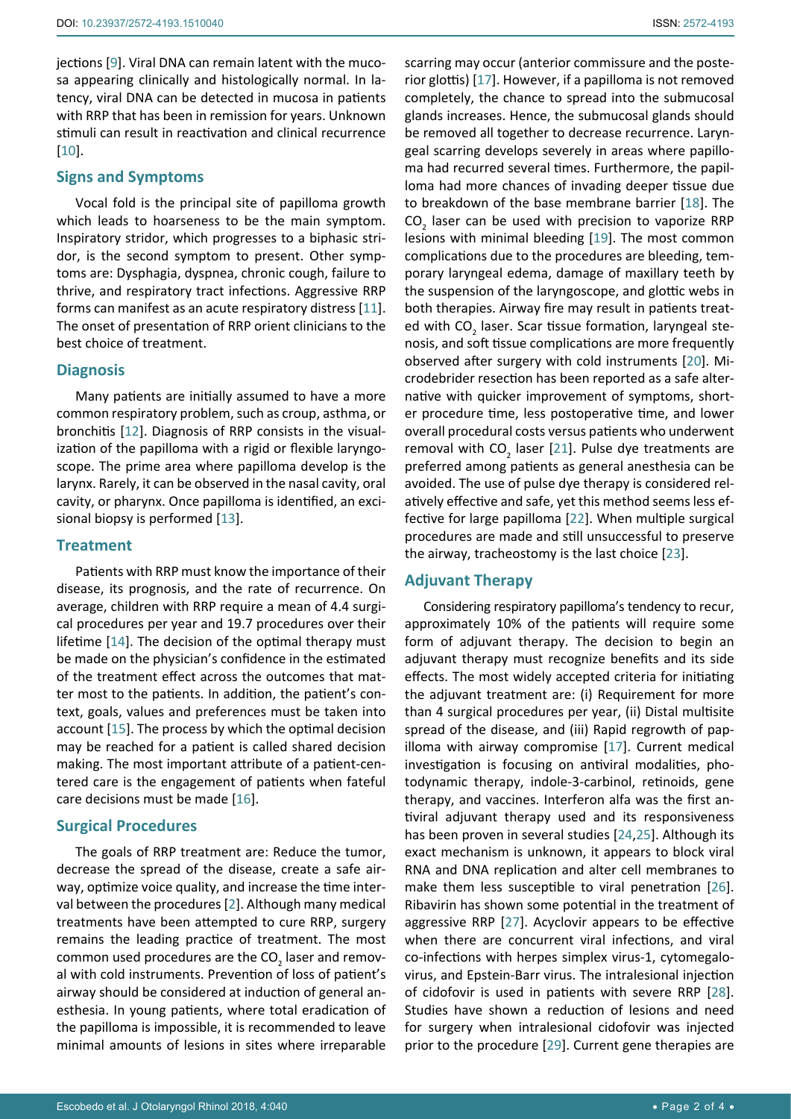jections [[9\]](#page-3-13). Viral DNA can remain latent with the mucosa appearing clinically and histologically normal. In latency, viral DNA can be detected in mucosa in patients with RRP that has been in remission for years. Unknown stimuli can result in reactivation and clinical recurrence [[10](#page-3-14)].

#### **Signs and Symptoms**

Vocal fold is the principal site of papilloma growth which leads to hoarseness to be the main symptom. Inspiratory stridor, which progresses to a biphasic stridor, is the second symptom to present. Other symptoms are: Dysphagia, dyspnea, chronic cough, failure to thrive, and respiratory tract infections. Aggressive RRP forms can manifest as an acute respiratory distress [\[11](#page-3-15)]. The onset of presentation of RRP orient clinicians to the best choice of treatment.

#### **Diagnosis**

Many patients are initially assumed to have a more common respiratory problem, such as croup, asthma, or bronchitis [[12\]](#page-3-16). Diagnosis of RRP consists in the visualization of the papilloma with a rigid or flexible laryngoscope. The prime area where papilloma develop is the larynx. Rarely, it can be observed in the nasal cavity, oral cavity, or pharynx. Once papilloma is identified, an excisional biopsy is performed [\[13](#page-3-17)].

#### **Treatment**

Patients with RRP must know the importance of their disease, its prognosis, and the rate of recurrence. On average, children with RRP require a mean of 4.4 surgical procedures per year and 19.7 procedures over their lifetime [\[14](#page-3-18)]. The decision of the optimal therapy must be made on the physician's confidence in the estimated of the treatment effect across the outcomes that matter most to the patients. In addition, the patient's context, goals, values and preferences must be taken into account [[15\]](#page-3-19). The process by which the optimal decision may be reached for a patient is called shared decision making. The most important attribute of a patient-centered care is the engagement of patients when fateful care decisions must be made [[16\]](#page-3-20).

#### **Surgical Procedures**

The goals of RRP treatment are: Reduce the tumor, decrease the spread of the disease, create a safe airway, optimize voice quality, and increase the time interval between the procedures [[2\]](#page-2-0). Although many medical treatments have been attempted to cure RRP, surgery remains the leading practice of treatment. The most common used procedures are the CO<sub>2</sub> laser and removal with cold instruments. Prevention of loss of patient's airway should be considered at induction of general anesthesia. In young patients, where total eradication of the papilloma is impossible, it is recommended to leave minimal amounts of lesions in sites where irreparable scarring may occur (anterior commissure and the posterior glottis) [\[17](#page-3-0)]. However, if a papilloma is not removed completely, the chance to spread into the submucosal glands increases. Hence, the submucosal glands should be removed all together to decrease recurrence. Laryngeal scarring develops severely in areas where papilloma had recurred several times. Furthermore, the papilloma had more chances of invading deeper tissue due to breakdown of the base membrane barrier [[18\]](#page-3-1). The  $CO<sub>2</sub>$  laser can be used with precision to vaporize RRP lesions with minimal bleeding [[19\]](#page-3-2). The most common complications due to the procedures are bleeding, temporary laryngeal edema, damage of maxillary teeth by the suspension of the laryngoscope, and glottic webs in both therapies. Airway fire may result in patients treated with  $CO_2$  laser. Scar tissue formation, laryngeal stenosis, and soft tissue complications are more frequently observed after surgery with cold instruments [[20\]](#page-3-3). Microdebrider resection has been reported as a safe alternative with quicker improvement of symptoms, shorter procedure time, less postoperative time, and lower overall procedural costs versus patients who underwent removal with  $CO<sub>2</sub>$  laser [[21\]](#page-3-4). Pulse dye treatments are preferred among patients as general anesthesia can be avoided. The use of pulse dye therapy is considered relatively effective and safe, yet this method seems less effective for large papilloma [\[22](#page-3-5)]. When multiple surgical procedures are made and still unsuccessful to preserve the airway, tracheostomy is the last choice [\[23\]](#page-3-6).

#### **Adjuvant Therapy**

Considering respiratory papilloma's tendency to recur, approximately 10% of the patients will require some form of adjuvant therapy. The decision to begin an adjuvant therapy must recognize benefits and its side effects. The most widely accepted criteria for initiating the adjuvant treatment are: (i) Requirement for more than 4 surgical procedures per year, (ii) Distal multisite spread of the disease, and (iii) Rapid regrowth of papilloma with airway compromise [[17\]](#page-3-0). Current medical investigation is focusing on antiviral modalities, photodynamic therapy, indole-3-carbinol, retinoids, gene therapy, and vaccines. Interferon alfa was the first antiviral adjuvant therapy used and its responsiveness has been proven in several studies [\[24](#page-3-7),[25](#page-3-8)]. Although its exact mechanism is unknown, it appears to block viral RNA and DNA replication and alter cell membranes to make them less susceptible to viral penetration [\[26\]](#page-3-9). Ribavirin has shown some potential in the treatment of aggressive RRP [\[27](#page-3-10)]. Acyclovir appears to be effective when there are concurrent viral infections, and viral co-infections with herpes simplex virus-1, cytomegalovirus, and Epstein-Barr virus. The intralesional injection of cidofovir is used in patients with severe RRP [\[28\]](#page-3-11). Studies have shown a reduction of lesions and need for surgery when intralesional cidofovir was injected prior to the procedure [[29\]](#page-3-12). Current gene therapies are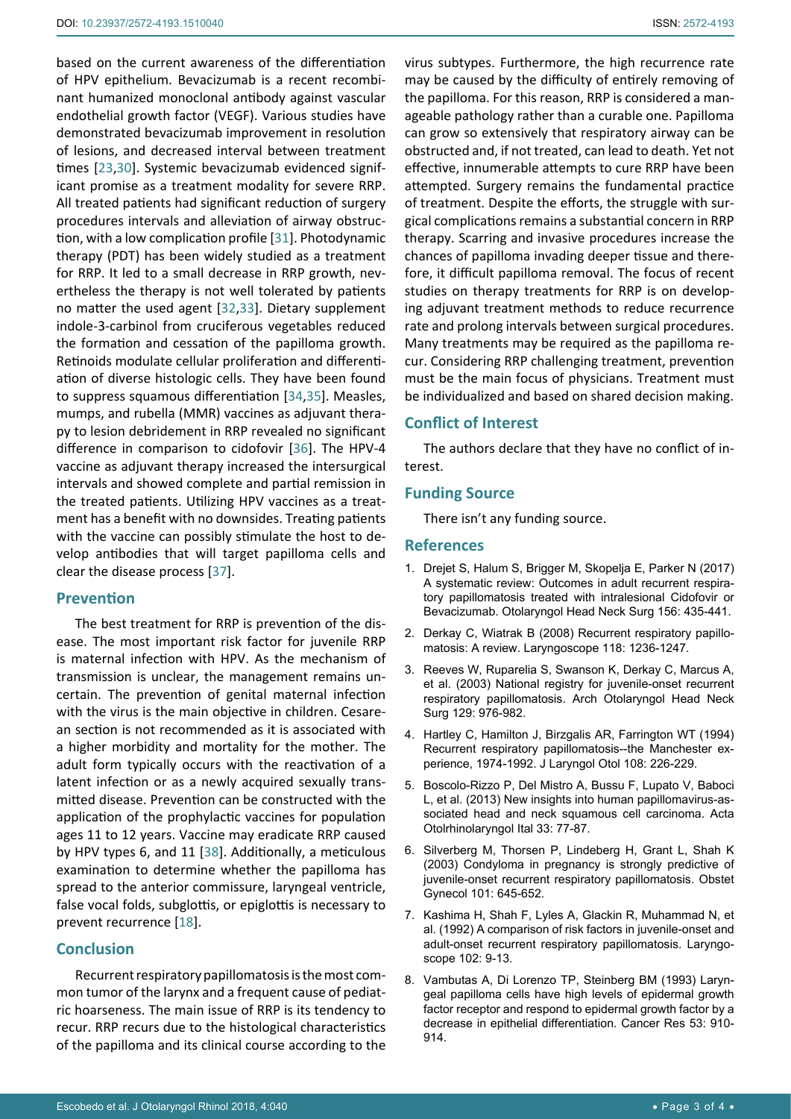based on the current awareness of the differentiation of HPV epithelium. Bevacizumab is a recent recombinant humanized monoclonal antibody against vascular endothelial growth factor (VEGF). Various studies have demonstrated bevacizumab improvement in resolution of lesions, and decreased interval between treatment times [\[23](#page-3-6),[30](#page-3-21)]. Systemic bevacizumab evidenced significant promise as a treatment modality for severe RRP. All treated patients had significant reduction of surgery procedures intervals and alleviation of airway obstruction, with a low complication profile [[31\]](#page-3-22). Photodynamic therapy (PDT) has been widely studied as a treatment for RRP. It led to a small decrease in RRP growth, nevertheless the therapy is not well tolerated by patients no matter the used agent [[32](#page-3-23),[33\]](#page-3-24). Dietary supplement indole-3-carbinol from cruciferous vegetables reduced the formation and cessation of the papilloma growth. Retinoids modulate cellular proliferation and differentiation of diverse histologic cells. They have been found to suppress squamous differentiation [[34](#page-3-25),[35\]](#page-3-26). Measles, mumps, and rubella (MMR) vaccines as adjuvant therapy to lesion debridement in RRP revealed no significant difference in comparison to cidofovir [[36\]](#page-3-27). The HPV-4 vaccine as adjuvant therapy increased the intersurgical intervals and showed complete and partial remission in the treated patients. Utilizing HPV vaccines as a treatment has a benefit with no downsides. Treating patients with the vaccine can possibly stimulate the host to develop antibodies that will target papilloma cells and clear the disease process [[37\]](#page-3-28).

#### **Prevention**

The best treatment for RRP is prevention of the disease. The most important risk factor for juvenile RRP is maternal infection with HPV. As the mechanism of transmission is unclear, the management remains uncertain. The prevention of genital maternal infection with the virus is the main objective in children. Cesarean section is not recommended as it is associated with a higher morbidity and mortality for the mother. The adult form typically occurs with the reactivation of a latent infection or as a newly acquired sexually transmitted disease. Prevention can be constructed with the application of the prophylactic vaccines for population ages 11 to 12 years. Vaccine may eradicate RRP caused by HPV types 6, and 11 [[38\]](#page-3-29). Additionally, a meticulous examination to determine whether the papilloma has spread to the anterior commissure, laryngeal ventricle, false vocal folds, subglottis, or epiglottis is necessary to prevent recurrence [[18\]](#page-3-1).

# **Conclusion**

Recurrent respiratory papillomatosis is the most common tumor of the larynx and a frequent cause of pediatric hoarseness. The main issue of RRP is its tendency to recur. RRP recurs due to the histological characteristics of the papilloma and its clinical course according to the virus subtypes. Furthermore, the high recurrence rate may be caused by the difficulty of entirely removing of the papilloma. For this reason, RRP is considered a manageable pathology rather than a curable one. Papilloma can grow so extensively that respiratory airway can be obstructed and, if not treated, can lead to death. Yet not effective, innumerable attempts to cure RRP have been attempted. Surgery remains the fundamental practice of treatment. Despite the efforts, the struggle with surgical complications remains a substantial concern in RRP therapy. Scarring and invasive procedures increase the chances of papilloma invading deeper tissue and therefore, it difficult papilloma removal. The focus of recent studies on therapy treatments for RRP is on developing adjuvant treatment methods to reduce recurrence rate and prolong intervals between surgical procedures. Many treatments may be required as the papilloma recur. Considering RRP challenging treatment, prevention must be the main focus of physicians. Treatment must be individualized and based on shared decision making.

# **Conflict of Interest**

The authors declare that they have no conflict of interest.

## **Funding Source**

There isn't any funding source.

## **References**

- <span id="page-2-7"></span>1. [Drejet S, Halum S, Brigger M, Skopelja E, Parker N \(2017\)](http://journals.sagepub.com/doi/abs/10.1177/0194599816683384?journalCode=otoj)  [A systematic review: Outcomes in adult recurrent respira](http://journals.sagepub.com/doi/abs/10.1177/0194599816683384?journalCode=otoj)[tory papillomatosis treated with intralesional Cidofovir or](http://journals.sagepub.com/doi/abs/10.1177/0194599816683384?journalCode=otoj)  [Bevacizumab. Otolaryngol Head Neck Surg 156: 435-441.](http://journals.sagepub.com/doi/abs/10.1177/0194599816683384?journalCode=otoj)
- <span id="page-2-0"></span>2. [Derkay C, Wiatrak B \(2008\) Recurrent respiratory papillo](https://www.ncbi.nlm.nih.gov/pubmed/18496162)[matosis: A review. Laryngoscope 118: 1236-1247.](https://www.ncbi.nlm.nih.gov/pubmed/18496162)
- <span id="page-2-1"></span>3. [Reeves W, Ruparelia S, Swanson K, Derkay C, Marcus A,](https://www.ncbi.nlm.nih.gov/pubmed/12975271)  [et al. \(2003\) National registry for juvenile-onset recurrent](https://www.ncbi.nlm.nih.gov/pubmed/12975271)  [respiratory papillomatosis. Arch Otolaryngol Head Neck](https://www.ncbi.nlm.nih.gov/pubmed/12975271)  [Surg 129: 976-982.](https://www.ncbi.nlm.nih.gov/pubmed/12975271)
- <span id="page-2-2"></span>4. [Hartley C, Hamilton J, Birzgalis AR, Farrington WT \(1994\)](https://www.ncbi.nlm.nih.gov/pubmed/8169504)  [Recurrent respiratory papillomatosis--the Manchester ex](https://www.ncbi.nlm.nih.gov/pubmed/8169504)[perience, 1974-1992. J Laryngol Otol 108: 226-229.](https://www.ncbi.nlm.nih.gov/pubmed/8169504)
- <span id="page-2-3"></span>5. [Boscolo-Rizzo P, Del Mistro A, Bussu F, Lupato V, Baboci](https://www.ncbi.nlm.nih.gov/pubmed/23853396)  [L, et al. \(2013\) New insights into human papillomavirus-as](https://www.ncbi.nlm.nih.gov/pubmed/23853396)[sociated head and neck squamous cell carcinoma. Acta](https://www.ncbi.nlm.nih.gov/pubmed/23853396)  [Otolrhinolaryngol Ital 33: 77-87.](https://www.ncbi.nlm.nih.gov/pubmed/23853396)
- <span id="page-2-4"></span>6. [Silverberg M, Thorsen P, Lindeberg H, Grant L, Shah K](https://www.ncbi.nlm.nih.gov/pubmed/12681865)  [\(2003\) Condyloma in pregnancy is strongly predictive of](https://www.ncbi.nlm.nih.gov/pubmed/12681865)  [juvenile-onset recurrent respiratory papillomatosis. Obstet](https://www.ncbi.nlm.nih.gov/pubmed/12681865)  [Gynecol 101: 645-652.](https://www.ncbi.nlm.nih.gov/pubmed/12681865)
- <span id="page-2-5"></span>7. [Kashima H, Shah F, Lyles A, Glackin R, Muhammad N, et](https://www.ncbi.nlm.nih.gov/pubmed/1309932)  [al. \(1992\) A comparison of risk factors in juvenile-onset and](https://www.ncbi.nlm.nih.gov/pubmed/1309932)  [adult-onset recurrent respiratory papillomatosis. Laryngo](https://www.ncbi.nlm.nih.gov/pubmed/1309932)[scope 102: 9-13.](https://www.ncbi.nlm.nih.gov/pubmed/1309932)
- <span id="page-2-6"></span>8. [Vambutas A, Di Lorenzo TP, Steinberg BM \(1993\) Laryn](https://www.ncbi.nlm.nih.gov/pubmed/7679053)[geal papilloma cells have high levels of epidermal growth](https://www.ncbi.nlm.nih.gov/pubmed/7679053)  [factor receptor and respond to epidermal growth factor by a](https://www.ncbi.nlm.nih.gov/pubmed/7679053)  [decrease in epithelial differentiation. Cancer Res 53: 910-](https://www.ncbi.nlm.nih.gov/pubmed/7679053) [914.](https://www.ncbi.nlm.nih.gov/pubmed/7679053)